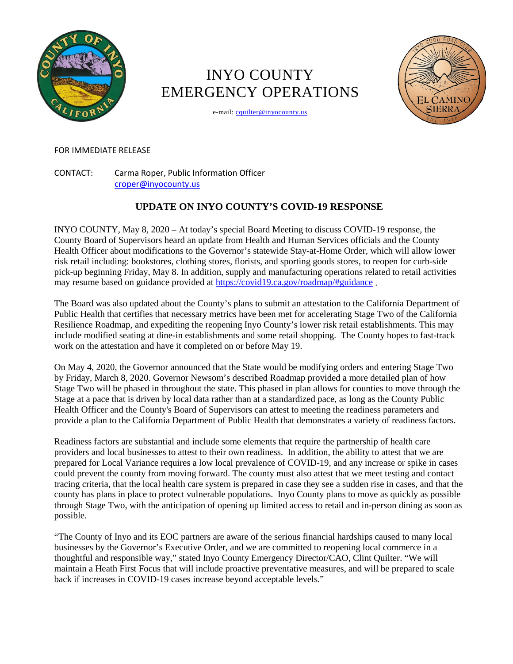

## INYO COUNTY EMERGENCY OPERATIONS



e-mail: [cquilter@inyocounty.us](mailto:cquilter@inyocounty.us)

## FOR IMMEDIATE RELEASE

CONTACT: Carma Roper, Public Information Officer [croper@inyocounty.us](mailto:croper@inyocounty.us)

## **UPDATE ON INYO COUNTY'S COVID-19 RESPONSE**

INYO COUNTY, May 8, 2020 – At today's special Board Meeting to discuss COVID-19 response, the County Board of Supervisors heard an update from Health and Human Services officials and the County Health Officer about modifications to the Governor's statewide Stay-at-Home Order, which will allow lower risk retail including: bookstores, clothing stores, florists, and sporting goods stores, to reopen for curb-side pick-up beginning Friday, May 8. In addition, supply and manufacturing operations related to retail activities may resume based on guidance provided at<https://covid19.ca.gov/roadmap/#guidance> .

The Board was also updated about the County's plans to submit an attestation to the California Department of Public Health that certifies that necessary metrics have been met for accelerating Stage Two of the California Resilience Roadmap, and expediting the reopening Inyo County's lower risk retail establishments. This may include modified seating at dine-in establishments and some retail shopping. The County hopes to fast-track work on the attestation and have it completed on or before May 19.

On May 4, 2020, the Governor announced that the State would be modifying orders and entering Stage Two by Friday, March 8, 2020. Governor Newsom's described Roadmap provided a more detailed plan of how Stage Two will be phased in throughout the state. This phased in plan allows for counties to move through the Stage at a pace that is driven by local data rather than at a standardized pace, as long as the County Public Health Officer and the County's Board of Supervisors can attest to meeting the readiness parameters and provide a plan to the California Department of Public Health that demonstrates a variety of readiness factors.

Readiness factors are substantial and include some elements that require the partnership of health care providers and local businesses to attest to their own readiness. In addition, the ability to attest that we are prepared for Local Variance requires a low local prevalence of COVID-19, and any increase or spike in cases could prevent the county from moving forward. The county must also attest that we meet testing and contact tracing criteria, that the local health care system is prepared in case they see a sudden rise in cases, and that the county has plans in place to protect vulnerable populations. Inyo County plans to move as quickly as possible through Stage Two, with the anticipation of opening up limited access to retail and in-person dining as soon as possible.

"The County of Inyo and its EOC partners are aware of the serious financial hardships caused to many local businesses by the Governor's Executive Order, and we are committed to reopening local commerce in a thoughtful and responsible way," stated Inyo County Emergency Director/CAO, Clint Quilter. "We will maintain a Heath First Focus that will include proactive preventative measures, and will be prepared to scale back if increases in COVID-19 cases increase beyond acceptable levels."